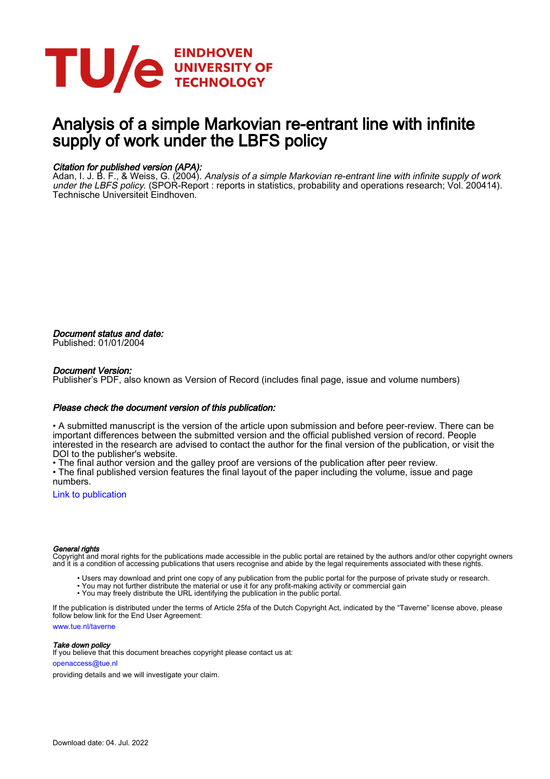

# Analysis of a simple Markovian re-entrant line with infinite supply of work under the LBFS policy

### Citation for published version (APA):

Adan, I. J. B. F., & Weiss, G. (2004). *Analysis of a simple Markovian re-entrant line with infinite supply of work* under the LBFS policy. (SPOR-Report : reports in statistics, probability and operations research; Vol. 200414). Technische Universiteit Eindhoven.

Document status and date: Published: 01/01/2004

#### Document Version:

Publisher's PDF, also known as Version of Record (includes final page, issue and volume numbers)

#### Please check the document version of this publication:

• A submitted manuscript is the version of the article upon submission and before peer-review. There can be important differences between the submitted version and the official published version of record. People interested in the research are advised to contact the author for the final version of the publication, or visit the DOI to the publisher's website.

• The final author version and the galley proof are versions of the publication after peer review.

• The final published version features the final layout of the paper including the volume, issue and page numbers.

[Link to publication](https://research.tue.nl/en/publications/7c565b7e-50ff-4829-8c76-db3c453e5aa4)

#### General rights

Copyright and moral rights for the publications made accessible in the public portal are retained by the authors and/or other copyright owners and it is a condition of accessing publications that users recognise and abide by the legal requirements associated with these rights.

- Users may download and print one copy of any publication from the public portal for the purpose of private study or research.
- You may not further distribute the material or use it for any profit-making activity or commercial gain
- You may freely distribute the URL identifying the publication in the public portal.

If the publication is distributed under the terms of Article 25fa of the Dutch Copyright Act, indicated by the "Taverne" license above, please follow below link for the End User Agreement:

www.tue.nl/taverne

**Take down policy**<br>If you believe that this document breaches copyright please contact us at:

openaccess@tue.nl

providing details and we will investigate your claim.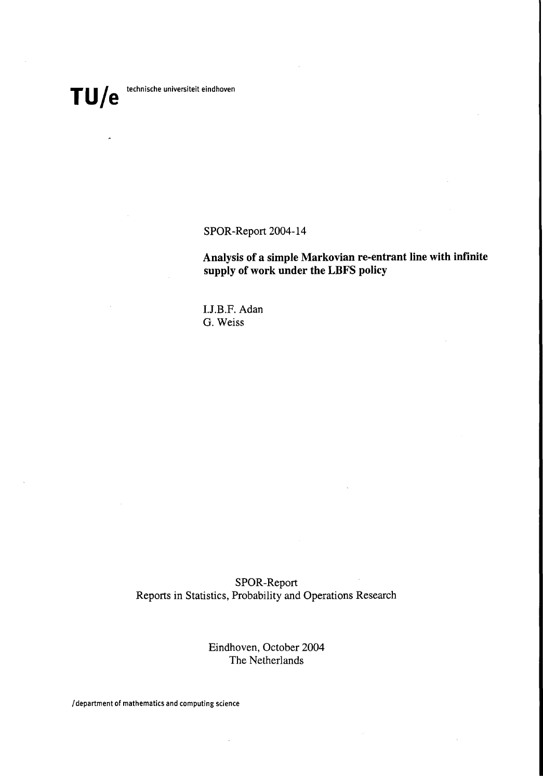SPOR-Report 2004-14

**Analysis of a simple Markovian re-entrant line with infinite supply of work under the LBFS policy**

**LJ**.B.P. Adan G. Weiss

SPOR-Report Reports in Statistics, Probability and Operations Research

> Eindhoven, October 2004 The Netherlands

/ department of mathematics and computing science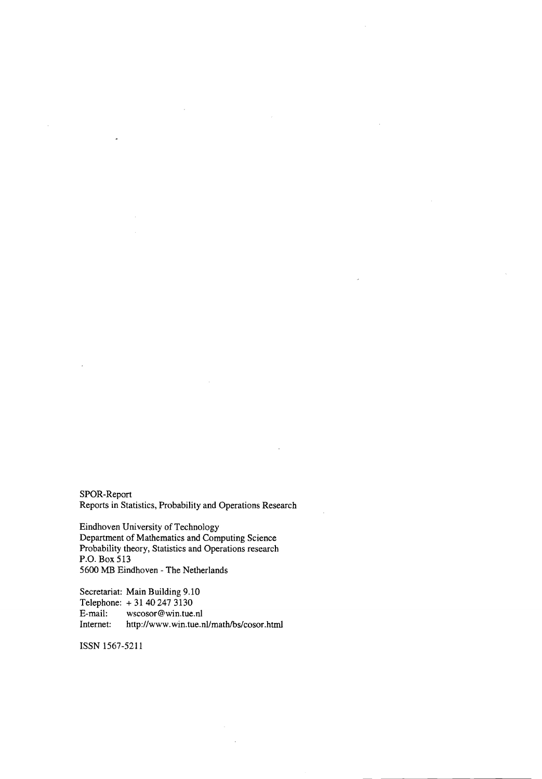SPOR-Report Reports in Statistics, Probability and Operations Research

Eindhoven University of Technology Department of Mathematics and Computing Science Probability theory, Statistics and Operations research P.O. Box 513 5600 MB Eindhoven - The Netherlands

Secretariat: Main Building 9.10 Telephone:  $+31402473130$ <br>E-mail: wscosor@win.tue. E-mail: wscosor@win.tue.nl<br>Internet: http://www.win.tue.r http://www.win.tue.nl/math/bs/cosor.html

ISSN 1567-5211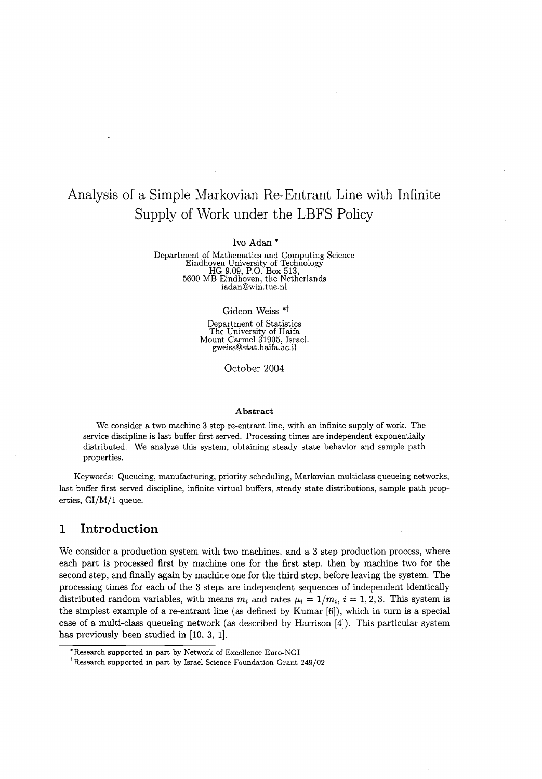# Analysis of a Simple Markovian Re-Entrant Line with Infinite Supply of Work under the LBFS Policy

Ivo Adan \*

Department of Mathematics and Computing Science Eindhoven University of Technology HG 9.09, P.O. Box 513, 5600 MB Eindhoven, the Netherlands iadan@win.tue.nl

#### Gideon Weiss \*t

Department of Statistics The University of Haifa Mount Carmel 31905, Israel. gweiss@stat.haifa.ac.il

October 2004

#### Abstract

We consider a two machine 3 step re-entrant line, with an infinite supply of work. The service discipline is last buffer first served. Processing times are independent exponentially distributed. We analyze this system, obtaining steady state behavior and sample path properties.

Keywords: Queueing, manufacturing, priority scheduling, Markovian multiclass queueing networks, last buffer first served discipline, infinite virtual buffers, steady state distributions, sample path properties, *GI/M/1* queue.

## **1 Introduction**

We consider a production system with two machines, and a 3 step production process, where each part is processed first by machine one for the first step, then by machine two for the second step, and finally again by machine one for the third step, before leaving the system. The processing times for each of the 3 steps are independent sequences of independent identically distributed random variables, with means  $m_i$  and rates  $\mu_i = 1/m_i$ ,  $i = 1, 2, 3$ . This system is the simplest example of a re-entrant line (as defined by Kumar [6]), which in turn is a special case of a multi-class queueing network (as described by Harrison [4]). This particular system has previously been studied in [10, 3, 1].

<sup>&#</sup>x27;Research supported in part by Network of Excellence Euro-NGI

tResearch supported in part by Israel Science Foundation Grant 249/02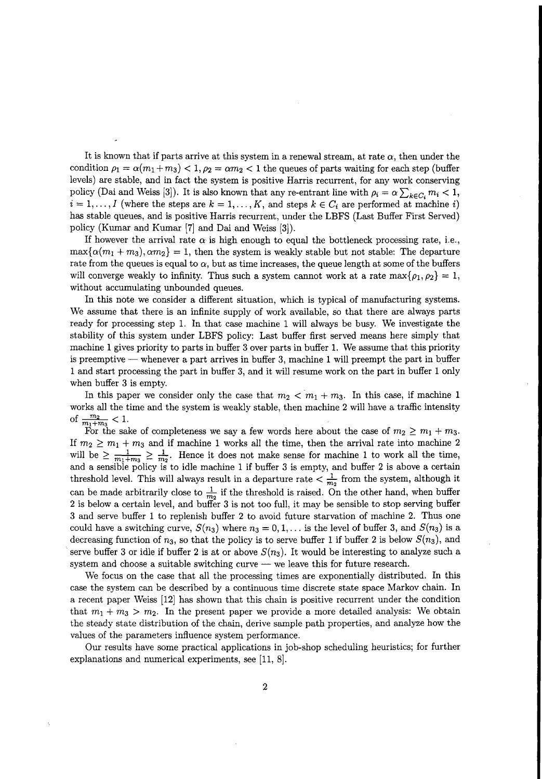It is known that if parts arrive at this system in a renewal stream, at rate  $\alpha$ , then under the condition  $\rho_1 = \alpha(m_1 + m_3) < 1, \rho_2 = \alpha m_2 < 1$  the queues of parts waiting for each step (buffer levels) are stable, and in fact the system is positive Harris recurrent, for any work conserving policy (Dai and Weiss [3]). It is also known that any re-entrant line with  $\rho_i = \alpha \sum_{k \in C_i} m_i < 1$ ,  $i = 1, \ldots, I$  (where the steps are  $k = 1, \ldots, K$ , and steps  $k \in C_i$  are performed at machine i) has stable queues, and is positive Harris recurrent, under the LBFS (Last Buffer First Served) policy (Kumar and Kumar [7] and Dai and Weiss [3]).

If however the arrival rate  $\alpha$  is high enough to equal the bottleneck processing rate, i.e.,  $\max{\{\alpha(m_1+m_3),\alpha m_2\}}=1$ , then the system is weakly stable but not stable: The departure rate from the queues is equal to  $\alpha$ , but as time increases, the queue length at some of the buffers will converge weakly to infinity. Thus such a system cannot work at a rate max $\{ \rho_1, \rho_2 \} = 1$ , without accumulating unbounded queues.

In this note we consider a different situation, which is typical of manufacturing systems. We assume that there is an infinite supply of work available, so that there are always parts ready for processing step 1. In that case machine 1 will always be busy. We investigate the stability of this system under LBFS policy: Last buffer first served means here simply that machine 1 gives priority to parts in buffer 3 over parts in buffer 1. We assume that this priority is preemptive  $-$  whenever a part arrives in buffer 3, machine 1 will preempt the part in buffer 1 and start processing the part in buffer 3, and it will resume work on the part in buffer 1 only when buffer 3 is empty.

In this paper we consider only the case that  $m_2 < m_1 + m_3$ . In this case, if machine 1 works all the time and the system is weakly stable, then machine 2 will have a traffic intensity of  $\frac{m_2}{m_1+m_3} < 1$ .

For the sake of completeness we say a few words here about the case of  $m_2 \ge m_1 + m_3$ . If  $m_2 \geq m_1 + m_3$  and if machine 1 works all the time, then the arrival rate into machine 2 will be  $\geq \frac{1}{m_1+m_2} \geq \frac{1}{m_2}$ . Hence it does not make sense for machine 1 to work all the time, and a sensible policy is to idle machine 1 if buffer 3 is empty, and buffer 2 is above a certain threshold level. This will always result in a departure rate  $\frac{1}{m_2}$  from the system, although it can be made arbitrarily close to  $\frac{1}{m_2}$  if the threshold is raised. On the other hand, when buffer 2 is below a certain level, and buffer 3 is not too full, it may be sensible to stop serving buffer 3 and serve buffer 1 to replenish buffer 2 to avoid future starvation of machine 2. Thus one could have a switching curve,  $S(n_3)$  where  $n_3 = 0, 1, \ldots$  is the level of buffer 3, and  $S(n_3)$  is a decreasing function of  $n_3$ , so that the policy is to serve buffer 1 if buffer 2 is below  $S(n_3)$ , and serve buffer 3 or idle if buffer 2 is at or above  $S(n_3)$ . It would be interesting to analyze such a system and choose a suitable switching curve  $-$  we leave this for future research.

We focus on the case that all the processing times are exponentially distributed. In this case the system can be described by a continuous time discrete state space Markov chain. In a recent paper Weiss [12] has shown that this chain is positive recurrent under the condition that  $m_1 + m_3 > m_2$ . In the present paper we provide a more detailed analysis: We obtain the steady state distribution of the chain, derive sample path properties, and analyze how the values of the parameters influence system performance.

Our results have some practical applications in job-shop scheduling heuristics; for further explanations and numerical experiments, see [11, 8].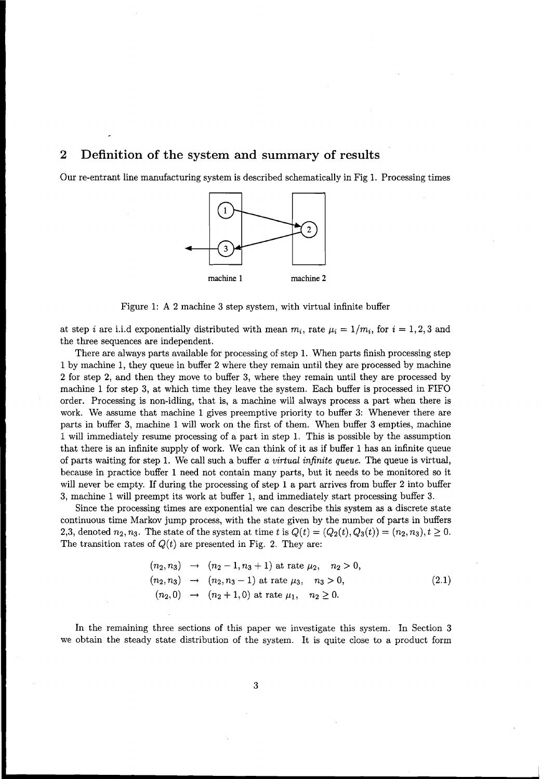# **2 Definition of the system and summary of results**

Our re-entrant line manufacturing system is described schematically in Fig 1. Processing times



Figure 1: A 2 machine 3 step system, with virtual infinite buffer

at step *i* are i.i.d exponentially distributed with mean  $m_i$ , rate  $\mu_i = 1/m_i$ , for  $i = 1,2,3$  and the three sequences are independent.

There are always parts available for processing of step 1. When parts finish processing step 1 by machine 1, they queue in buffer 2 where they remain until they are processed by machine 2 for step 2, and then they move to buffer 3, where they remain until they are processed by machine 1 for step 3, at which time they leave the system. Each buffer is processed in FIFO order. Processing is non-idling, that is, a machine will always process a part when there is work. We assume that machine 1 gives preemptive priority to buffer 3: Whenever there are parts in buffer 3, machine 1 will work on the first of them. When buffer 3 empties, machine 1 will immediately resume processing of a part in step 1. This is possible by the assumption that there is an infinite supply of work. We can think of it as if buffer 1 has an infinite queue of parts waiting for step 1. We call such a buffer *a virtual infinite queue.* The queue is virtual, because in practice buffer 1 need not contain many parts, but it needs to be monitored so it will never be empty. If during the processing of step 1 a part arrives from buffer 2 into buffer 3, machine 1 will preempt its work at buffer 1, and immediately start processing buffer 3.

Since the processing times are exponential we can describe this system as a discrete state continuous time Markov jump process, with the state given by the number of parts in buffers 2,3, denoted  $n_2, n_3$ . The state of the system at time *t* is  $Q(t) = (Q_2(t), Q_3(t)) = (n_2, n_3), t \ge 0$ . The transition rates of  $Q(t)$  are presented in Fig. 2. They are:

$$
(n_2, n_3) \rightarrow (n_2 - 1, n_3 + 1)
$$
 at rate  $\mu_2$ ,  $n_2 > 0$ ,  
\n $(n_2, n_3) \rightarrow (n_2, n_3 - 1)$  at rate  $\mu_3$ ,  $n_3 > 0$ ,  
\n $(n_2, 0) \rightarrow (n_2 + 1, 0)$  at rate  $\mu_1$ ,  $n_2 \ge 0$ . (2.1)

In the remaining three sections of this paper we investigate this system. In Section 3 we obtain the steady state distribution of the system. It is quite close to a product form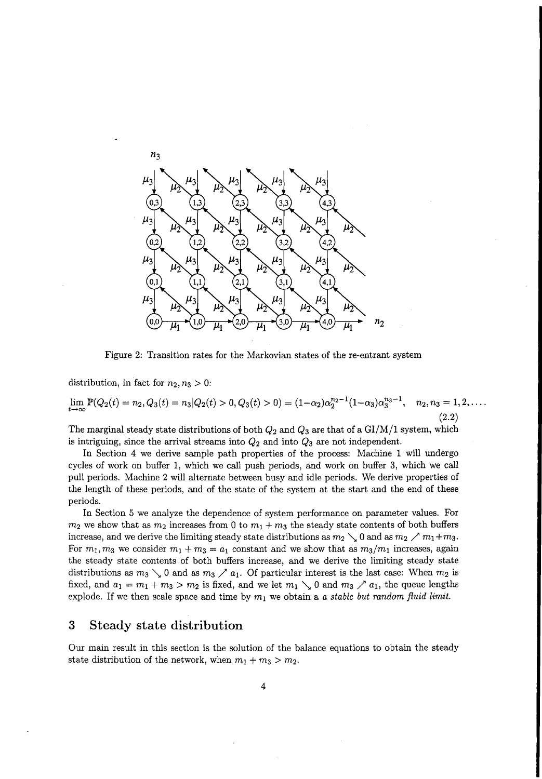

Figure 2: Transition rates for the Markovian states of the re-entrant system

distribution, in fact for  $n_2, n_3 > 0$ :

$$
\lim_{t \to \infty} \mathbb{P}(Q_2(t) = n_2, Q_3(t) = n_3 | Q_2(t) > 0, Q_3(t) > 0) = (1 - \alpha_2) \alpha_2^{n_2 - 1} (1 - \alpha_3) \alpha_3^{n_3 - 1}, \quad n_2, n_3 = 1, 2, \dots
$$
\n(2.2)

The marginal steady state distributions of both *Q2* and *Q3* are that of a *GI/M/1* system, which is intriguing, since the arrival streams into *Q2* and into *Q3* are not independent.

In Section 4 we derive sample path properties of the process: Machine 1 will undergo cycles of work on buffer 1, which we call push periods, and work on buffer 3, which we call pull periods. Machine 2 will alternate between busy and idle periods. We derive properties of the length of these periods, and of the state of the system at the start and the end of these periods.

In Section 5 we analyze the dependence of system performance on parameter values. For  $m_2$  we show that as  $m_2$  increases from 0 to  $m_1 + m_3$  the steady state contents of both buffers increase, and we derive the limiting steady state distributions as  $m_2 \searrow 0$  and as  $m_2 \nearrow m_1 + m_3$ . For  $m_1, m_3$  we consider  $m_1 + m_3 = a_1$  constant and we show that as  $m_3/m_1$  increases, again the steady state contents of both buffers increase, and we derive the limiting steady state distributions as  $m_3 \searrow 0$  and as  $m_3 \nearrow a_1$ . Of particular interest is the last case: When  $m_2$  is fixed, and  $a_1 = m_1 + m_3 > m_2$  is fixed, and we let  $m_1 \searrow 0$  and  $m_3 \nearrow a_1$ , the queue lengths explode. If we then scale space and time by  $m_1$  we obtain a a *stable but* random fluid limit.

# **3 Steady state distribution**

Our main result in this section is the solution of the balance equations to obtain the steady state distribution of the network, when  $m_1 + m_3 > m_2$ .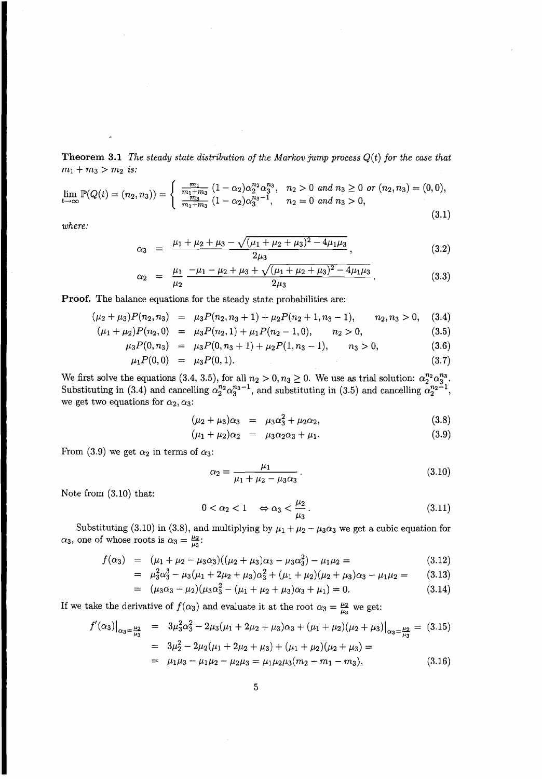**Theorem 3.1** *The steady state distribution of the Markov jump process Q(t) for the case that*  $m_1 + m_3 > m_2$  *is:* 

 $\sim$ 

$$
\lim_{t \to \infty} \mathbb{P}(Q(t) = (n_2, n_3)) = \begin{cases} \frac{m_1}{m_1 + m_3} \left(1 - \alpha_2\right) \alpha_2^{n_2} \alpha_3^{n_3}, & n_2 > 0 \text{ and } n_3 \ge 0 \text{ or } (n_2, n_3) = (0, 0), \\ \frac{m_3}{m_1 + m_3} \left(1 - \alpha_2\right) \alpha_3^{n_3 - 1}, & n_2 = 0 \text{ and } n_3 > 0, \end{cases} \tag{3.1}
$$

*where:*

$$
\alpha_3 = \frac{\mu_1 + \mu_2 + \mu_3 - \sqrt{(\mu_1 + \mu_2 + \mu_3)^2 - 4\mu_1\mu_3}}{2\mu_3}, \qquad (3.2)
$$

$$
\alpha_2 = \frac{\mu_1}{\mu_2} \frac{-\mu_1 - \mu_2 + \mu_3 + \sqrt{(\mu_1 + \mu_2 + \mu_3)^2 - 4\mu_1\mu_3}}{2\mu_3}.
$$
 (3.3)

**Proof.** The balance equations for the steady state probabilities are:

$$
(\mu_2 + \mu_3)P(n_2, n_3) = \mu_3 P(n_2, n_3 + 1) + \mu_2 P(n_2 + 1, n_3 - 1), \qquad n_2, n_3 > 0, \quad (3.4)
$$

$$
(\mu_1 + \mu_2)P(n_2, 0) = \mu_3 P(n_2, 1) + \mu_1 P(n_2 - 1, 0), \qquad n_2 > 0,
$$
\n(3.5)

$$
\mu_3 P(0, n_3) = \mu_3 P(0, n_3 + 1) + \mu_2 P(1, n_3 - 1), \qquad n_3 > 0,
$$
\n(3.6)

$$
\mu_1 P(0,0) = \mu_3 P(0,1). \tag{3.7}
$$

We first solve the equations (3.4, 3.5), for all  $n_2 > 0, n_3 \ge 0$ . We use as trial solution:  $\alpha_2^{n_2} \alpha_3^{n_3}$ . Substituting in (3.4) and cancelling  $\alpha_2^{n_2}\alpha_3^{n_3-1}$ , and substituting in (3.5) and cancelling  $\alpha_2^{n_2-1}$ , we get two equations for  $\alpha_2, \alpha_3$ :

$$
(\mu_2 + \mu_3)\alpha_3 = \mu_3\alpha_3^2 + \mu_2\alpha_2, \tag{3.8}
$$

$$
(\mu_1 + \mu_2)\alpha_2 = \mu_3\alpha_2\alpha_3 + \mu_1. \tag{3.9}
$$

From (3.9) we get  $\alpha_2$  in terms of  $\alpha_3$ :

$$
\alpha_2 = \frac{\mu_1}{\mu_1 + \mu_2 - \mu_3 \alpha_3} \,. \tag{3.10}
$$

Note from (3.10) that:

$$
0 < \alpha_2 < 1 \quad \Leftrightarrow \alpha_3 < \frac{\mu_2}{\mu_3} \,. \tag{3.11}
$$

Substituting (3.10) in (3.8), and multiplying by  $\mu_1 + \mu_2 - \mu_3 \alpha_3$  we get a cubic equation for  $\alpha_3$ , one of whose roots is  $\alpha_3 = \frac{\mu_2}{\mu_3}$ .

$$
f(\alpha_3) = (\mu_1 + \mu_2 - \mu_3 \alpha_3)((\mu_2 + \mu_3)\alpha_3 - \mu_3 \alpha_3^2) - \mu_1 \mu_2 = (3.12)
$$

$$
= \mu_3^2 \alpha_3^3 - \mu_3 (\mu_1 + 2\mu_2 + \mu_3) \alpha_3^2 + (\mu_1 + \mu_2)(\mu_2 + \mu_3) \alpha_3 - \mu_1 \mu_2 = \qquad (3.13)
$$

$$
= (\mu_3 \alpha_3 - \mu_2)(\mu_3 \alpha_3^2 - (\mu_1 + \mu_2 + \mu_3)\alpha_3 + \mu_1) = 0. \tag{3.14}
$$

If we take the derivative of  $f(\alpha_3)$  and evaluate it at the root  $\alpha_3 = \frac{\mu_2}{\mu_3}$  we get:

$$
f'(\alpha_3)|_{\alpha_3 = \frac{\mu_2}{\mu_3}} = 3\mu_3^2 \alpha_3^2 - 2\mu_3(\mu_1 + 2\mu_2 + \mu_3)\alpha_3 + (\mu_1 + \mu_2)(\mu_2 + \mu_3)|_{\alpha_3 = \frac{\mu_2}{\mu_3}} = (3.15)
$$
  
=  $3\mu_2^2 - 2\mu_2(\mu_1 + 2\mu_2 + \mu_3) + (\mu_1 + \mu_2)(\mu_2 + \mu_3) =$   
=  $\mu_1 \mu_3 - \mu_1 \mu_2 - \mu_2 \mu_3 = \mu_1 \mu_2 \mu_3 (m_2 - m_1 - m_3),$  (3.16)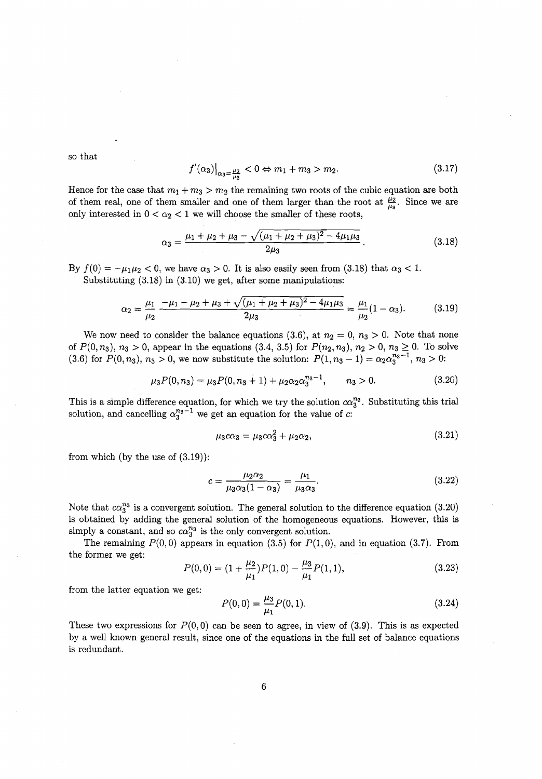so that

$$
f'(\alpha_3)|_{\alpha_3 = \frac{\mu_2}{\mu_3}} < 0 \Leftrightarrow m_1 + m_3 > m_2. \tag{3.17}
$$

Hence for the case that  $m_1 + m_3 > m_2$  the remaining two roots of the cubic equation are both of them real, one of them smaller and one of them larger than the root at  $\frac{\mu_2}{\mu_3}$ . Since we are only interested in  $0 < \alpha_2 < 1$  we will choose the smaller of these roots,

$$
\alpha_3 = \frac{\mu_1 + \mu_2 + \mu_3 - \sqrt{(\mu_1 + \mu_2 + \mu_3)^2 - 4\mu_1\mu_3}}{2\mu_3}.
$$
\n(3.18)

By  $f(0) = -\mu_1\mu_2 < 0$ , we have  $\alpha_3 > 0$ . It is also easily seen from (3.18) that  $\alpha_3 < 1$ . Substituting  $(3.18)$  in  $(3.10)$  we get, after some manipulations:

$$
\alpha_2 = \frac{\mu_1}{\mu_2} \frac{-\mu_1 - \mu_2 + \mu_3 + \sqrt{(\mu_1 + \mu_2 + \mu_3)^2 - 4\mu_1\mu_3}}{2\mu_3} = \frac{\mu_1}{\mu_2} (1 - \alpha_3). \tag{3.19}
$$

We now need to consider the balance equations (3.6), at  $n_2 = 0$ ,  $n_3 > 0$ . Note that none of  $P(0, n_3)$ ,  $n_3 > 0$ , appear in the equations  $(3.4, 3.5)$  for  $P(n_2, n_3)$ ,  $n_2 > 0$ ,  $n_3 \ge 0$ . To solve  $(3.6)$  for  $P(0, n_3)$ ,  $n_3 > 0$ , we now substitute the solution:  $P(1, n_3 - 1) = \alpha_2 \alpha_3^{n_3 - 1}$ ,  $n_3 > 0$ :

$$
\mu_3 P(0, n_3) = \mu_3 P(0, n_3 + 1) + \mu_2 \alpha_2 \alpha_3^{n_3 - 1}, \qquad n_3 > 0. \tag{3.20}
$$

This is a simple difference equation, for which we try the solution  $ca_3^{n_3}$ . Substituting this trial solution, and cancelling  $\alpha_3^{n_3-1}$  we get an equation for the value of c:

$$
\mu_3 c \alpha_3 = \mu_3 c \alpha_3^2 + \mu_2 \alpha_2,\tag{3.21}
$$

from which (by the use of  $(3.19)$ ):

$$
c = \frac{\mu_2 \alpha_2}{\mu_3 \alpha_3 (1 - \alpha_3)} = \frac{\mu_1}{\mu_3 \alpha_3}.
$$
 (3.22)

Note that  $c\alpha_3^{n_3}$  is a convergent solution. The general solution to the difference equation (3.20) is obtained by adding the general solution of the homogeneous equations. However, this is simply a constant, and so  $c\alpha_3^{n_3}$  is the only convergent solution.

The remaining  $P(0,0)$  appears in equation (3.5) for  $P(1,0)$ , and in equation (3.7). From the former we get:

$$
P(0,0) = (1 + \frac{\mu_2}{\mu_1})P(1,0) - \frac{\mu_3}{\mu_1}P(1,1),
$$
\n(3.23)

from the latter equation we get:

$$
P(0,0) = \frac{\mu_3}{\mu_1} P(0,1). \tag{3.24}
$$

These two expressions for  $P(0,0)$  can be seen to agree, in view of  $(3.9)$ . This is as expected by a well known general result, since one of the equations in the full set of balance equations is redundant.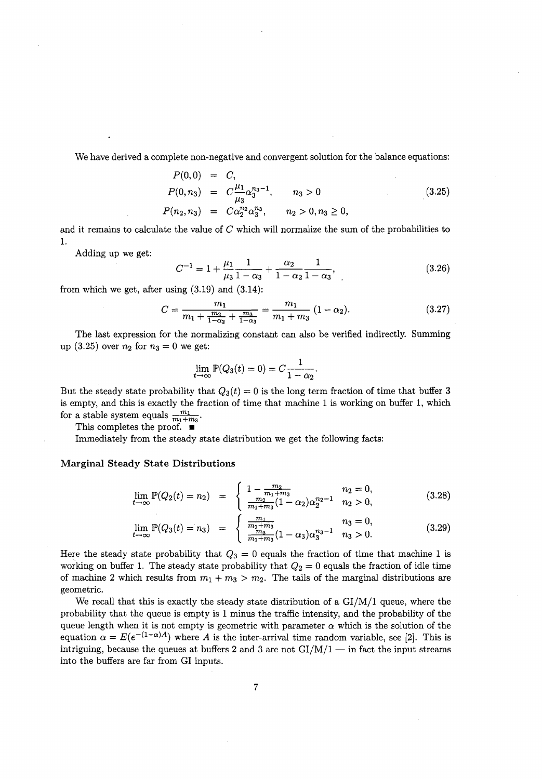We have derived a complete non-negative and convergent solution for the balance equations:

$$
P(0,0) = C,P(0,n_3) = C \frac{\mu_1}{\mu_3} \alpha_3^{n_3-1}, \qquad n_3 > 0P(n_2,n_3) = C \alpha_2^{n_2} \alpha_3^{n_3}, \qquad n_2 > 0, n_3 \ge 0,
$$
 (3.25)

and it remains to calculate the value of  $C$  which will normalize the sum of the probabilities to 1.

Adding up we get:

$$
C^{-1} = 1 + \frac{\mu_1}{\mu_3} \frac{1}{1 - \alpha_3} + \frac{\alpha_2}{1 - \alpha_2} \frac{1}{1 - \alpha_3},
$$
\n(3.26)

from which we get, after using  $(3.19)$  and  $(3.14)$ :

$$
C = \frac{m_1}{m_1 + \frac{m_2}{1 - \alpha_2} + \frac{m_3}{1 - \alpha_3}} = \frac{m_1}{m_1 + m_3} \ (1 - \alpha_2). \tag{3.27}
$$

The last expression for the normalizing constant can also be verified indirectly. Summing up (3.25) over  $n_2$  for  $n_3 = 0$  we get:

$$
\lim_{t \to \infty} \mathbb{P}(Q_3(t) = 0) = C \frac{1}{1 - \alpha_2}.
$$

But the steady state probability that  $Q_3(t) = 0$  is the long term fraction of time that buffer 3 is empty, and this is exactly the fraction of time that machine 1 is working on buffer 1, which for a stable system equals  $\frac{m_1}{m_1+m_3}$ .

This completes the proof.  $\blacksquare$ 

Immediately from the steady state distribution we get the following facts:

#### Marginal Steady State Distributions

$$
\lim_{t \to \infty} \mathbb{P}(Q_2(t) = n_2) = \begin{cases} 1 - \frac{m_2}{m_1 + m_3} & n_2 = 0, \\ \frac{m_2}{m_1 + m_3} (1 - \alpha_2) \alpha_2^{n_2 - 1} & n_2 > 0, \end{cases}
$$
(3.28)

$$
\lim_{t \to \infty} \mathbb{P}(Q_3(t) = n_3) = \begin{cases} \frac{m_1}{m_1 + m_3} & n_3 = 0, \\ \frac{m_3}{m_1 + m_3} (1 - \alpha_3) \alpha_3^{n_3 - 1} & n_3 > 0. \end{cases}
$$
(3.29)

Here the steady state probability that  $Q_3 = 0$  equals the fraction of time that machine 1 is working on buffer 1. The steady state probability that  $Q_2 = 0$  equals the fraction of idle time of machine 2 which results from  $m_1 + m_3 > m_2$ . The tails of the marginal distributions are geometric.

We recall that this is exactly the steady state distribution of a *GI/M/1* queue, where the probability that the queue is empty is 1 minus the traffic intensity, and the probability of the queue length when it is not empty is geometric with parameter  $\alpha$  which is the solution of the equation  $\alpha = E(e^{-(1-\alpha)A})$  where A is the inter-arrival time random variable, see [2]. This is intriguing, because the queues at buffers 2 and 3 are not  $GI/M/1$  - in fact the input streams into the buffers are far from GI inputs.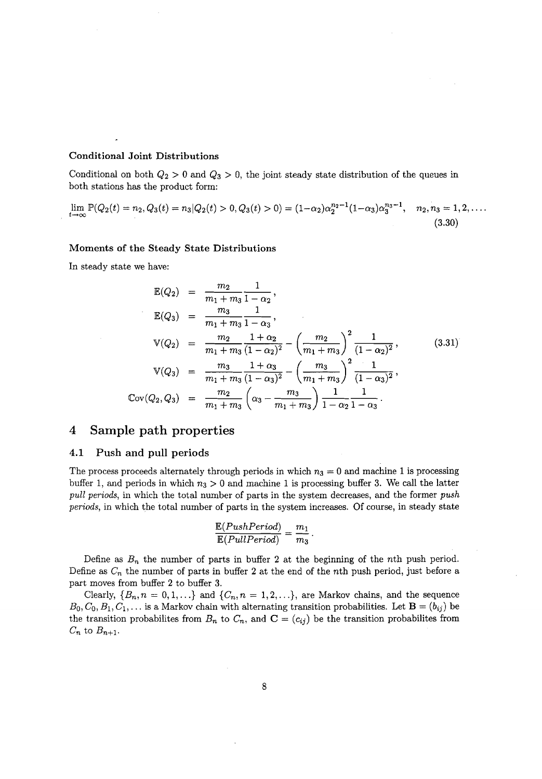#### Conditional Joint Distributions

Conditional on both  $Q_2 > 0$  and  $Q_3 > 0$ , the joint steady state distribution of the queues in both stations has the product form:

$$
\lim_{t \to \infty} \mathbb{P}(Q_2(t) = n_2, Q_3(t) = n_3 | Q_2(t) > 0, Q_3(t) > 0) = (1 - \alpha_2) \alpha_2^{n_2 - 1} (1 - \alpha_3) \alpha_3^{n_3 - 1}, \quad n_2, n_3 = 1, 2, \dots
$$
\n(3.30)

#### Moments of the Steady State Distributions

In steady state we have:

$$
\mathbb{E}(Q_2) = \frac{m_2}{m_1 + m_3} \frac{1}{1 - \alpha_2},
$$
\n
$$
\mathbb{E}(Q_3) = \frac{m_3}{m_1 + m_3} \frac{1}{1 - \alpha_3},
$$
\n
$$
\mathbb{V}(Q_2) = \frac{m_2}{m_1 + m_3} \frac{1 + \alpha_2}{(1 - \alpha_2)^2} - \left(\frac{m_2}{m_1 + m_3}\right)^2 \frac{1}{(1 - \alpha_2)^2},
$$
\n
$$
\mathbb{V}(Q_3) = \frac{m_3}{m_1 + m_3} \frac{1 + \alpha_3}{(1 - \alpha_3)^2} - \left(\frac{m_3}{m_1 + m_3}\right)^2 \frac{1}{(1 - \alpha_3)^2},
$$
\n
$$
\text{Cov}(Q_2, Q_3) = \frac{m_2}{m_1 + m_3} \left(\alpha_3 - \frac{m_3}{m_1 + m_3}\right) \frac{1}{1 - \alpha_2} \frac{1}{1 - \alpha_3}.
$$
\n(3.31)

# 4 **Sample path properties**

#### 4.1 Push and **pull** periods

The process proceeds alternately through periods in which  $n_3 = 0$  and machine 1 is processing buffer 1, and periods in which  $n_3 > 0$  and machine 1 is processing buffer 3. We call the latter *pull periods,* in which the total number of parts in the system decreases, and the former *push periods,* in which the total number of parts in the system increases. Of course, in steady state

$$
\frac{\mathbb{E}(PushPeriod)}{\mathbb{E}(FullPeriod)} = \frac{m_1}{m_3}.
$$

Define as  $B_n$  the number of parts in buffer 2 at the beginning of the *n*th push period. Define as  $C_n$  the number of parts in buffer 2 at the end of the *n*th push period, just before a part moves from buffer 2 to buffer 3.

Clearly,  $\{B_n, n = 0, 1, \ldots\}$  and  $\{C_n, n = 1, 2, \ldots\}$ , are Markov chains, and the sequence  $B_0, C_0, B_1, C_1, \ldots$  is a Markov chain with alternating transition probabilities. Let  $\mathbf{B} = (b_{ij})$  be the transition probabilites from  $B_n$  to  $C_n$ , and  $C = (c_{ij})$  be the transition probabilites from  $C_n$  to  $B_{n+1}$ .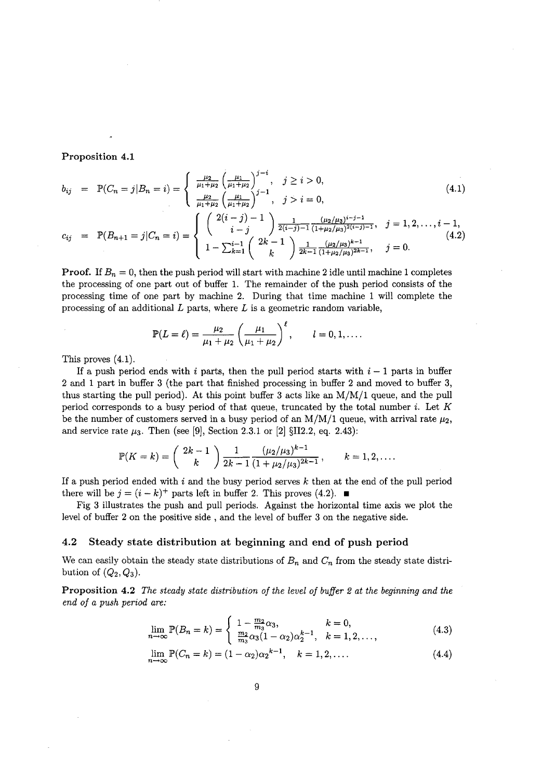#### Proposition 4.1

$$
b_{ij} = \mathbb{P}(C_n = j | B_n = i) = \begin{cases} \frac{\mu_2}{\mu_1 + \mu_2} \left(\frac{\mu_1}{\mu_1 + \mu_2}\right)^{j-i}, & j \ge i > 0, \\ \frac{\mu_2}{\mu_1 + \mu_2} \left(\frac{\mu_1}{\mu_1 + \mu_2}\right)^{j-1}, & j > i = 0, \end{cases}
$$
(4.1)  

$$
c_{ij} = \mathbb{P}(B_{n+1} = j | C_n = i) = \begin{cases} \left(\begin{array}{c} 2(i-j) - 1 \\ i-j \end{array}\right) \frac{1}{2(i-j) - 1} \frac{(\mu_2/\mu_3)^{i-j-1}}{(1 + \mu_2/\mu_3)^{2(i-j-1)}}, & j = 1, 2, \ldots, i-1, \\ 1 - \sum_{k=1}^{i-1} \left(\begin{array}{c} 2k - 1 \\ k \end{array}\right) \frac{1}{2k - 1} \frac{(\mu_2/\mu_3)^{k-1}}{(1 + \mu_2/\mu_3)^{2k-1}}, & j = 0. \end{cases}
$$
(4.2)

**Proof.** If  $B_n = 0$ , then the push period will start with machine 2 idle until machine 1 completes the processing of one part out of buffer 1. The remainder of the push period consists of the processing time of one part by machine 2. During that time machine 1 will complete the processing of an additional  $L$  parts, where  $L$  is a geometric random variable,

$$
\mathbb{P}(L=\ell) = \frac{\mu_2}{\mu_1 + \mu_2} \left(\frac{\mu_1}{\mu_1 + \mu_2}\right)^{\ell}, \qquad l = 0, 1, \dots
$$

This proves (4.1).

If a push period ends with i parts, then the pull period starts with  $i - 1$  parts in buffer 2 and 1 part in buffer 3 (the part that finished processing in buffer 2 and moved to buffer 3, thus starting the pull period). At this point buffer 3 acts like an *M/M/1* queue, and the pull period corresponds to a busy period of that queue, truncated by the total number i. Let *K* be the number of customers served in a busy period of an  $M/M/1$  queue, with arrival rate  $\mu_2$ , and service rate  $\mu_3$ . Then (see [9], Section 2.3.1 or [2] §II2.2, eq. 2.43):

$$
\mathbb{P}(K=k) = \binom{2k-1}{k} \frac{1}{2k-1} \frac{(\mu_2/\mu_3)^{k-1}}{(1+\mu_2/\mu_3)^{2k-1}}, \qquad k = 1, 2, ....
$$

If a push period ended with i and the busy period serves  $k$  then at the end of the pull period there will be  $j = (i - k)^+$  parts left in buffer 2. This proves (4.2).  $\blacksquare$ 

Fig 3 illustrates the push and pull periods. Against the horizontal time axis we plot the level of buffer 2 on the positive side, and the level of buffer 3 on the negative side.

#### 4.2 Steady state distribution at beginning and end of push period

We can easily obtain the steady state distributions of  $B_n$  and  $C_n$  from the steady state distribution of  $(Q_2, Q_3)$ .

Proposition 4.2 *The steady state distribution of the level of buffer* 2 *at the beginning and the end of a push period are:*

$$
\lim_{n \to \infty} \mathbb{P}(B_n = k) = \begin{cases} 1 - \frac{m_2}{m_3} \alpha_3, & k = 0, \\ \frac{m_2}{m_3} \alpha_3 (1 - \alpha_2) \alpha_2^{k-1}, & k = 1, 2, \dots, \end{cases}
$$
(4.3)

$$
\lim_{n \to \infty} \mathbb{P}(C_n = k) = (1 - \alpha_2)\alpha_2^{k-1}, \quad k = 1, 2, \dots
$$
 (4.4)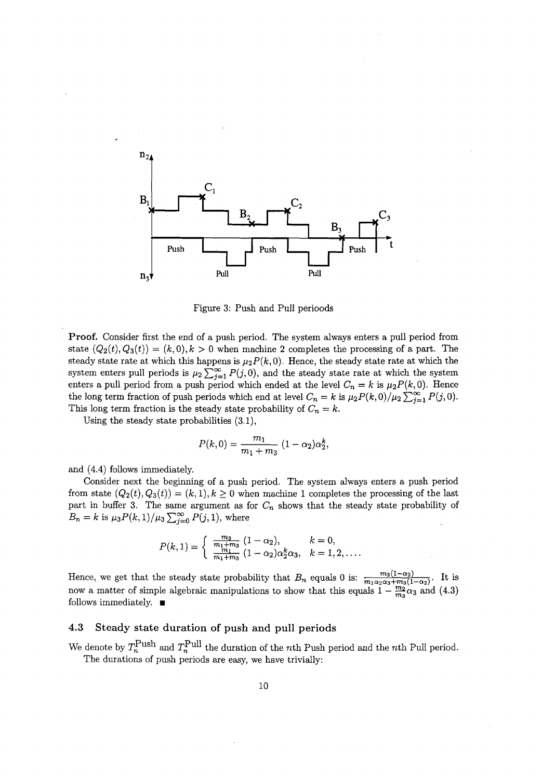

Figure 3: Push and Pull perioods

Proof. Consider first the end of a push period. The system always enters a pull period from state  $(Q_2(t), Q_3(t)) = (k, 0), k > 0$  when machine 2 completes the processing of a part. The steady state rate at which this happens is  $\mu_2 P(k, 0)$ . Hence, the steady state rate at which the system enters pull periods is  $\mu_2 \sum_{j=1}^{\infty} P(j, 0)$ , and the steady state rate at which the system enters a pull period from a push period which ended at the level  $C_n = k$  is  $\mu_2 P(k, 0)$ . Hence the long term fraction of push periods which end at level  $C_n = k$  is  $\mu_2 P(k, 0)/\mu_2 \sum_{j=1}^{\infty} P(j, 0)$ . This long term fraction is the steady state probability of  $C_n = k$ .

Using the steady state probabilities (3.1),

$$
P(k,0) = \frac{m_1}{m_1 + m_3} (1 - \alpha_2) \alpha_2^k,
$$

and (4.4) follows immediately.

Consider next the beginning of a push period. The system always enters a push period from state  $(Q_2(t), Q_3(t)) = (k, 1), k \geq 0$  when machine 1 completes the processing of the last part in buffer 3. The same argument as for *C*<sup>n</sup> shows that the steady state probability of  $B_n = k$  is  $\mu_3 P(k, 1)/\mu_3 \sum_{j=0}^{\infty} P(j, 1)$ , where

$$
P(k,1) = \begin{cases} \frac{m_3}{m_1 + m_3} (1 - \alpha_2), & k = 0, \\ \frac{m_1}{m_1 + m_3} (1 - \alpha_2) \alpha_2^k \alpha_3, & k = 1, 2, \dots. \end{cases}
$$

Hence, we get that the steady state probability that  $B_n$  equals 0 is:  $\frac{m_3(1-\alpha_2)}{m_1\alpha_2\alpha_3+m_3(1-\alpha_2)}$ . It is now a matter of simple algebraic manipulations to show that this equals  $1-\frac{m_2}{m_2}\alpha_3$  and (4.3) follows immediately.  $\blacksquare$ 

#### 4.3 Steady state duration of push and pull periods

We denote by  $T_n^{\text{Push}}$  and  $T_n^{\text{pull}}$  the duration of the nth Push period and the nth Pull period. The durations of push periods are easy, we have trivially: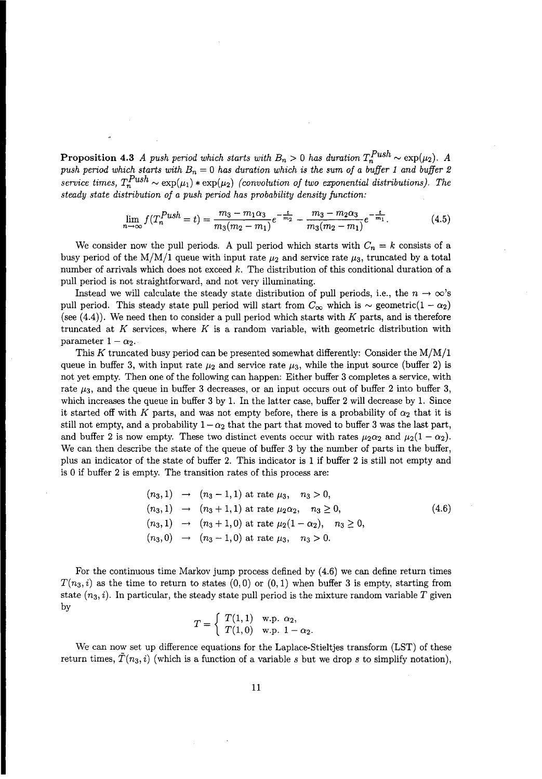**Proposition 4.3** *A push period which starts with*  $B_n > 0$  *has duration*  $T_n^{Push} \sim \exp(\mu_2)$ . *A* **Proposition 4.3** A push period which starts with  $B_n > 0$  has duration  $T_n^{Fush} \sim \exp(\mu_2)$ . A push period which starts with  $B_n = 0$  has duration which is the sum of a buffer 1 and buffer 2 *service times,*  $T_n^{Push} \sim \exp(\mu_1) * \exp(\mu_2)$  *(convolution of two exponential distributions).* The *steady state distribution of a push period has probability density function:*

$$
\lim_{n \to \infty} f(T_n^{Push} = t) = \frac{m_3 - m_1 \alpha_3}{m_3(m_2 - m_1)} e^{-\frac{t}{m_2}} - \frac{m_3 - m_2 \alpha_3}{m_3(m_2 - m_1)} e^{-\frac{t}{m_1}}.
$$
(4.5)

We consider now the pull periods. A pull period which starts with  $C_n = k$  consists of a busy period of the  $M/M/1$  queue with input rate  $\mu_2$  and service rate  $\mu_3$ , truncated by a total number of arrivals which does not exceed  $k$ . The distribution of this conditional duration of a pull period is not straightforward, and not very illuminating.

Instead we will calculate the steady state distribution of pull periods, i.e., the  $n \to \infty$ 's pull period. This steady state pull period will start from  $C_{\infty}$  which is  $\sim$  geometric(1 -  $\alpha_2$ ) (see (4.4)). We need then to consider a pull period which starts with *K* parts, and is therefore truncated at *K* services, where *K* is a random variable, with geometric distribution with parameter  $1 - \alpha_2$ .

This *K* truncated busy period can be presented somewhat differently: Consider the *MIMI*1 queue in buffer 3, with input rate  $\mu_2$  and service rate  $\mu_3$ , while the input source (buffer 2) is not yet empty. Then one of the following can happen: Either buffer 3 completes a service, with rate  $\mu_3$ , and the queue in buffer 3 decreases, or an input occurs out of buffer 2 into buffer 3, which increases the queue in buffer 3 by 1. **In** the latter case, buffer 2 will decrease by 1. Since it started off with *K* parts, and was not empty before, there is a probability of  $\alpha_2$  that it is still not empty, and a probability  $1 - \alpha_2$  that the part that moved to buffer 3 was the last part, and buffer 2 is now empty. These two distinct events occur with rates  $\mu_2\alpha_2$  and  $\mu_2(1 - \alpha_2)$ . We can then describe the state of the queue of buffer 3 by the number of parts in the buffer, plus an indicator of the state of buffer 2. This indicator is 1 if buffer 2 is still not empty and is 0 if buffer 2 is empty. The transition rates of this process are:

$$
(n_3, 1) \rightarrow (n_3 - 1, 1)
$$
 at rate  $\mu_3$ ,  $n_3 > 0$ ,  
\n $(n_3, 1) \rightarrow (n_3 + 1, 1)$  at rate  $\mu_2 \alpha_2$ ,  $n_3 \ge 0$ ,  
\n $(n_3, 1) \rightarrow (n_3 + 1, 0)$  at rate  $\mu_2 (1 - \alpha_2)$ ,  $n_3 \ge 0$ ,  
\n $(n_3, 0) \rightarrow (n_3 - 1, 0)$  at rate  $\mu_3$ ,  $n_3 > 0$ .

For the continuous time Markov jump process defined by (4.6) we can define return times  $T(n_3, i)$  as the time to return to states  $(0, 0)$  or  $(0, 1)$  when buffer 3 is empty, starting from state  $(n_3, i)$ . In particular, the steady state pull period is the mixture random variable  $T$  given by

$$
T = \begin{cases} T(1,1) & \text{w.p. } \alpha_2, \\ T(1,0) & \text{w.p. } 1 - \alpha_2. \end{cases}
$$

We can now set up difference equations for the Laplace-Stieltjes transform (LST) of these return times,  $T(n_3, i)$  (which is a function of a variable *s* but we drop *s* to simplify notation),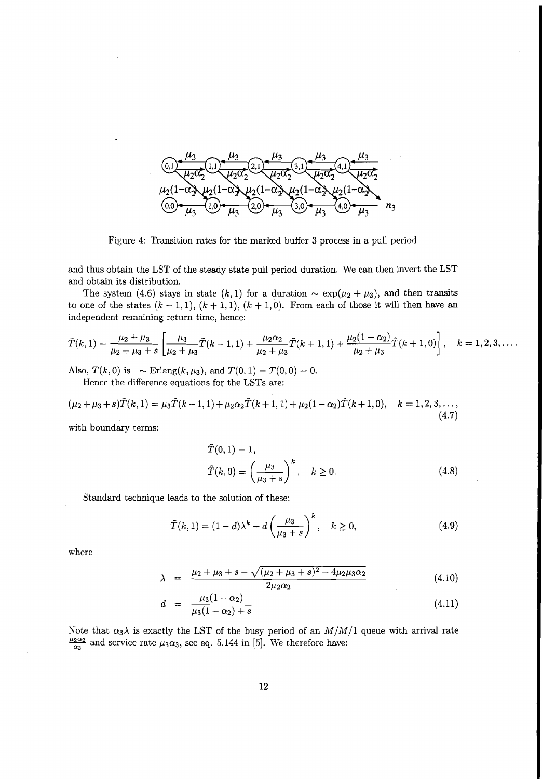

Figure 4: Transition rates for the marked buffer 3 process in a pull period

and thus obtain the LST of the steady state pull period duration. We can then invert the LST and obtain its distribution.

The system (4.6) stays in state  $(k,1)$  for a duration  $\sim \exp(\mu_2 + \mu_3)$ , and then transits to one of the states  $(k-1,1)$ ,  $(k+1,1)$ ,  $(k+1,0)$ . From each of those it will then have an independent remaining return time, hence:

$$
\tilde{T}(k,1)=\frac{\mu_2+\mu_3}{\mu_2+\mu_3+s}\left[\frac{\mu_3}{\mu_2+\mu_3}\tilde{T}(k-1,1)+\frac{\mu_2\alpha_2}{\mu_2+\mu_3}\tilde{T}(k+1,1)+\frac{\mu_2(1-\alpha_2)}{\mu_2+\mu_3}\tilde{T}(k+1,0)\right],\quad k=1,2,3,\ldots.
$$

Also,  $T(k,0)$  is  $\sim$  Erlang $(k,\mu_3)$ , and  $T(0,1) = T(0,0) = 0$ . Hence the difference equations for the LSTs are:

$$
(\mu_2 + \mu_3 + s)\tilde{T}(k, 1) = \mu_3 \tilde{T}(k-1, 1) + \mu_2 \alpha_2 \tilde{T}(k+1, 1) + \mu_2 (1-\alpha_2) \tilde{T}(k+1, 0), \quad k = 1, 2, 3, \dots,
$$
\n(4.7)

with boundary terms:

$$
\tilde{T}(0,1) = 1,\n\tilde{T}(k,0) = \left(\frac{\mu_3}{\mu_3 + s}\right)^k, \quad k \ge 0.
$$
\n(4.8)

Standard technique leads to the solution of these:

$$
\tilde{T}(k,1) = (1-d)\lambda^k + d\left(\frac{\mu_3}{\mu_3 + s}\right)^k, \quad k \ge 0,
$$
\n(4.9)

where

$$
\lambda = \frac{\mu_2 + \mu_3 + s - \sqrt{(\mu_2 + \mu_3 + s)^2 - 4\mu_2\mu_3\alpha_2}}{2\mu_2\alpha_2} \tag{4.10}
$$

$$
d = \frac{\mu_3(1-\alpha_2)}{\mu_3(1-\alpha_2)+s} \tag{4.11}
$$

Note that  $\alpha_3\lambda$  is exactly the LST of the busy period of an  $M/M/1$  queue with arrival rate  $\frac{\mu_2 \alpha_2}{\alpha_2}$  and service rate  $\mu_3 \alpha_3$ , see eq. 5.144 in [5]. We therefore have: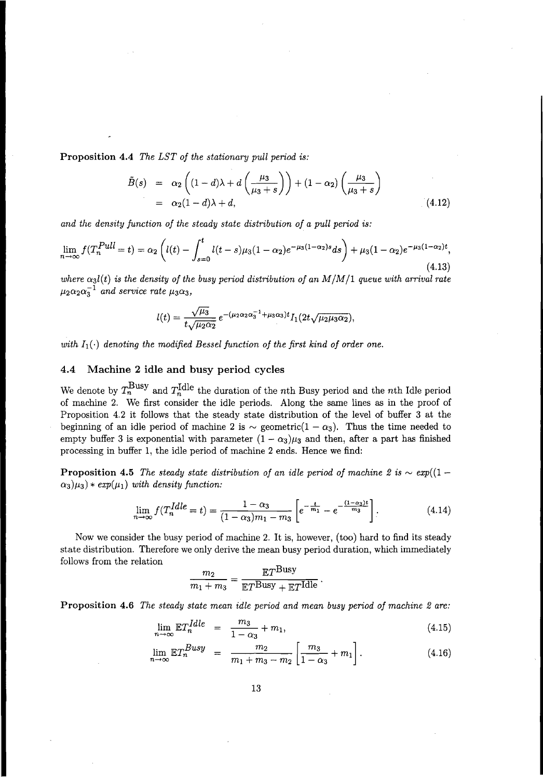**Proposition 4.4** *The LST of the stationary pull period is:*

$$
\tilde{B}(s) = \alpha_2 \left( (1-d)\lambda + d \left( \frac{\mu_3}{\mu_3 + s} \right) \right) + (1 - \alpha_2) \left( \frac{\mu_3}{\mu_3 + s} \right)
$$
  
=  $\alpha_2 (1-d)\lambda + d,$  (4.12)

*and the density function of the steady state distribution of a pull period is:*

$$
\lim_{n \to \infty} f(T_n^{Pull} = t) = \alpha_2 \left( l(t) - \int_{s=0}^t l(t-s) \mu_3 (1-\alpha_2) e^{-\mu_3 (1-\alpha_2)s} ds \right) + \mu_3 (1-\alpha_2) e^{-\mu_3 (1-\alpha_2)t},\tag{4.13}
$$

 $\alpha$ <sub>3</sub>l(t) is the density of the busy period distribution of an M/M/1 queue with arrival rate  $\mu_2 \alpha_2 \alpha_3^{-1}$  *and service rate*  $\mu_3 \alpha_3$ ,

$$
l(t) = \frac{\sqrt{\mu_3}}{t\sqrt{\mu_2\alpha_2}} e^{-(\mu_2\alpha_2\alpha_3^{-1} + \mu_3\alpha_3)t} I_1(2t\sqrt{\mu_2\mu_3\alpha_2}),
$$

*with*  $I_1(\cdot)$  *denoting the modified Bessel function of the first kind of order one.* 

#### **4.4 Machine 2 idle and busy period cycles**

We denote by  $T_n^{\text{Busy}}$  and  $T_n^{\text{Idle}}$  the duration of the *n*th Busy period and the *n*th Idle period of machine 2. We first consider the idle periods. Along the same lines as in the proof of Proposition 4.2 it follows that the steady state distribution of the level of buffer 3 at the beginning of an idle period of machine 2 is  $\sim$  geometric(1 -  $\alpha_3$ ). Thus the time needed to empty buffer 3 is exponential with parameter  $(1 - \alpha_3)\mu_3$  and then, after a part has finished processing in buffer 1, the idle period of machine 2 ends. Hence we find:

**Proposition 4.5** *The steady state distribution of an idle period of machine* 2 is  $\sim exp((1 (\alpha_3)\mu_3$   $*$  *exp*( $\mu_1$ ) *with density function:* 

$$
\lim_{n \to \infty} f(T_n^{\text{Idle}} = t) = \frac{1 - \alpha_3}{(1 - \alpha_3)m_1 - m_3} \left[ e^{-\frac{t}{m_1}} - e^{-\frac{(1 - \alpha_3)t}{m_3}} \right]. \tag{4.14}
$$

Now we consider the busy period of machine 2. It is, however, (too) hard to find its steady state distribution. Therefore we only derive the mean busy period duration, which immediately follows from the relation

$$
\frac{m_2}{m_1+m_3}=\frac{\mathbb{E}T^{\text{Busy}}}{\mathbb{E}T^{\text{Busy}}+\mathbb{E}T^{\text{Idle}}}.
$$

**Proposition 4.6** *The steady state mean idle period and mean busy period of machine* 2 *are:*

$$
\lim_{n \to \infty} \mathbb{E} T_n^{\text{Idle}} = \frac{m_3}{1 - \alpha_3} + m_1,\tag{4.15}
$$

$$
\lim_{n \to \infty} \mathbb{E} T_n^{Busy} = \frac{m_2}{m_1 + m_3 - m_2} \left[ \frac{m_3}{1 - \alpha_3} + m_1 \right]. \tag{4.16}
$$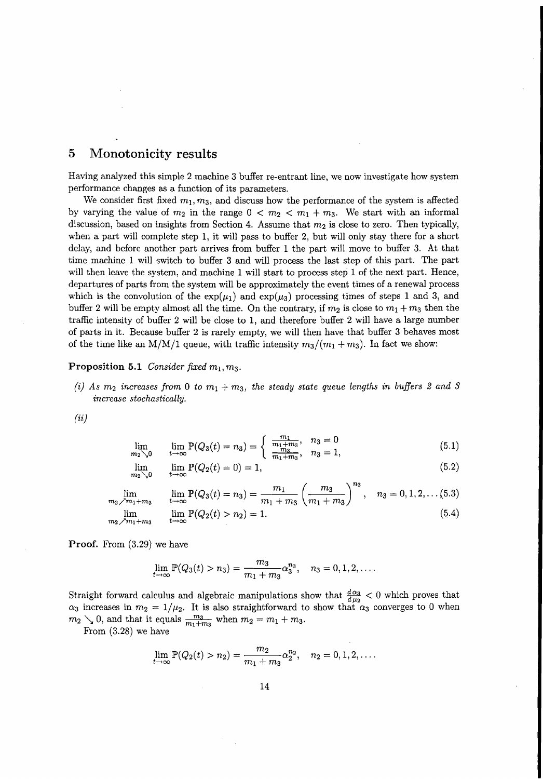# 5 Monotonicity results

Having analyzed this simple 2 machine 3 buffer re-entrant line, we now investigate how system performance changes as a function of its parameters.

We consider first fixed  $m_1, m_3$ , and discuss how the performance of the system is affected by varying the value of  $m_2$  in the range  $0 < m_2 < m_1 + m_3$ . We start with an informal discussion, based on insights from Section 4. Assume that  $m_2$  is close to zero. Then typically, when a part will complete step 1, it will pass to buffer 2, but will only stay there for a short delay, and before another part arrives from buffer 1 the part will move to buffer 3. At that time machine 1 will switch to buffer 3 and will process the last step of this part. The part will then leave the system, and machine 1 will start to process step 1 of the next part. Hence, departures of parts from the system will be approximately the event times of a renewal process which is the convolution of the  $\exp(\mu_1)$  and  $\exp(\mu_3)$  processing times of steps 1 and 3, and buffer 2 will be empty almost all the time. On the contrary, if  $m_2$  is close to  $m_1 + m_3$  then the traffic intensity of buffer 2 will be close to 1, and therefore buffer 2 will have a large number of parts in it. Because buffer 2 is rarely empty, we will then have that buffer 3 behaves most of the time like an M/M/1 queue, with traffic intensity  $m_3/(m_1 + m_3)$ . In fact we show:

**Proposition 5.1** *Consider fixed*  $m_1, m_3$ *.* 

(i) As  $m_2$  *increases* from 0 to  $m_1 + m_3$ , the steady state queue lengths in buffers 2 and 3 *increase stochastically.*

(ii)

$$
\lim_{m_2 \searrow 0} \qquad \lim_{t \to \infty} \mathbb{P}(Q_3(t) = n_3) = \begin{cases} \frac{m_1}{m_1 + m_3}, & n_3 = 0\\ \frac{m_3}{m_1 + m_3}, & n_3 = 1, \end{cases} \tag{5.1}
$$

$$
\lim_{t_2 \searrow 0} \quad \lim_{t \to \infty} \mathbb{P}(Q_2(t) = 0) = 1,\tag{5.2}
$$

 $\sqrt{n}$ 

$$
\lim_{m_2 \nearrow m_1 + m_3} \qquad \lim_{t \to \infty} \mathbb{P}(Q_3(t) = n_3) = \frac{m_1}{m_1 + m_3} \left(\frac{m_3}{m_1 + m_3}\right)^{\infty}, \quad n_3 = 0, 1, 2, \dots (5.3)
$$
\n
$$
\lim_{m_2 \nearrow m_1 + m_3} \qquad \lim_{t \to \infty} \mathbb{P}(Q_2(t) > n_2) = 1. \tag{5.4}
$$

Proof. From (3.29) we have

*m2'\.O*

*m2'\.O*

$$
\lim_{t \to \infty} \mathbb{P}(Q_3(t) > n_3) = \frac{m_3}{m_1 + m_3} \alpha_3^{n_3}, \quad n_3 = 0, 1, 2, \dots
$$

Straight forward calculus and algebraic manipulations show that  $\frac{d\alpha_3}{d\mu_2}$  < 0 which proves that  $\alpha_3$  increases in  $m_2 = 1/\mu_2$ . It is also straightforward to show that  $\alpha_3$  converges to 0 when  $m_2 \searrow 0$ , and that it equals  $\frac{m_3}{m_1+m_3}$  when  $m_2 = m_1 + m_3$ .

From (3.28) we have

$$
\lim_{t \to \infty} \mathbb{P}(Q_2(t) > n_2) = \frac{m_2}{m_1 + m_3} \alpha_2^{n_2}, \quad n_2 = 0, 1, 2, \dots
$$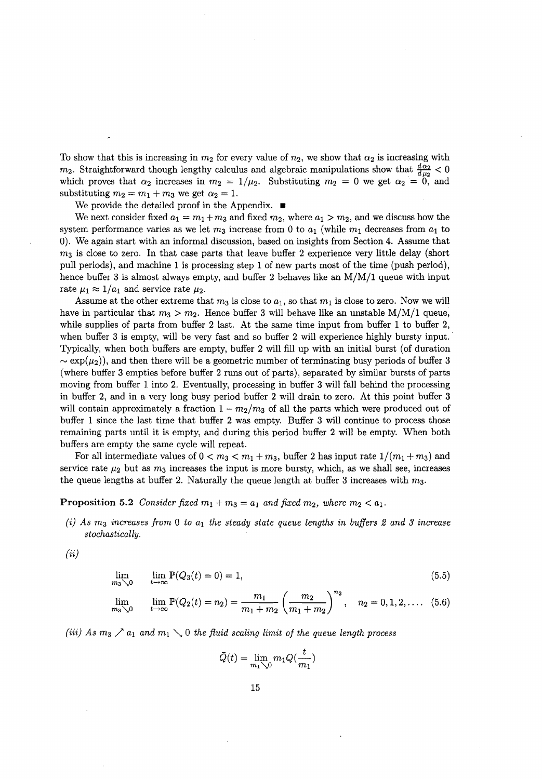To show that this is increasing in  $m_2$  for every value of  $n_2$ , we show that  $\alpha_2$  is increasing with To show that this is increasing in  $m_2$  for every value of  $n_2$ , we show that  $\alpha_2$  is increasing with  $m_2$ . Straightforward though lengthy calculus and algebraic manipulations show that  $\frac{d \alpha_2}{d \mu_2} < 0$  $m_2$ . Straightforward though lengthy calculus and algebraic manipulations show that  $\frac{a\alpha_2}{d\mu_2} < 0$  which proves that  $\alpha_2$  increases in  $m_2 = 1/\mu_2$ . Substituting  $m_2 = 0$  we get  $\alpha_2 = 0$ , and substituting  $m_2 = m_1 + m_3$  we get  $\alpha_2 = 1$ .

We provide the detailed proof in the Appendix.  $\blacksquare$ 

We next consider fixed  $a_1 = m_1 + m_3$  and fixed  $m_2$ , where  $a_1 > m_2$ , and we discuss how the We next consider fixed  $a_1 = m_1 + m_3$  and fixed  $m_2$ , where  $a_1 > m_2$ , and we discuss how the system performance varies as we let  $m_3$  increase from 0 to  $a_1$  (while  $m_1$  decreases from  $a_1$  to 0). We again start with an informal discussion, based on insights from Section 4. Assume that  $m<sub>3</sub>$  is close to zero. In that case parts that leave buffer 2 experience very little delay (short pull periods), and machine 1 is processing step 1 of new parts most of the time (push period), hence buffer 3 is almost always empty, and buffer 2 behaves like an  $M/M/1$  queue with input rate  $\mu_1 \approx 1/a_1$  and service rate  $\mu_2$ .

Assume at the other extreme that  $m_3$  is close to  $a_1$ , so that  $m_1$  is close to zero. Now we will have in particular that  $m_3 > m_2$ . Hence buffer 3 will behave like an unstable M/M/1 queue, while supplies of parts from buffer 2 last. At the same time input from buffer 1 to buffer 2, when buffer 3 is empty, will be very fast and so buffer 2 will experience highly bursty input. Typically, when both buffers are empty, buffer 2 will fill up with an initial burst (of duration  $\sim \exp(\mu_2)$ , and then there will be a geometric number of terminating busy periods of buffer 3 (where buffer 3 empties before buffer 2 runs out of parts), separated by similar bursts of parts moving from buffer 1 into 2. Eventually, processing in buffer 3 will fall behind the processing in buffer 2, and in a very long busy period buffer 2 will drain to zero. At this point buffer 3 will contain approximately a fraction  $1 - m_2/m_3$  of all the parts which were produced out of buffer 1 since the last time that buffer 2 was empty. Buffer 3 will continue to process those remaining parts until it is empty, and during this period buffer 2 will be empty. When both buffers are empty the same cycle will repeat.

For all intermediate values of  $0 < m_3 < m_1 + m_3$ , buffer 2 has input rate  $1/(m_1 + m_3)$  and service rate  $\mu_2$  but as  $m_3$  increases the input is more bursty, which, as we shall see, increases the queue lengths at buffer 2. Naturally the queue length at buffer 3 increases with *m3.*

#### **Proposition 5.2** *Consider fixed*  $m_1 + m_3 = a_1$  *and fixed*  $m_2$ *, where*  $m_2 < a_1$ *.*

(i) *As* m3 *increases from* 0 *to al the steady state queue lengths in buffers* 2 *and* 3 *increase stochastically.*

 $\left( ii\right)$ 

$$
\lim_{m_3 \searrow 0} \quad \lim_{t \to \infty} \mathbb{P}(Q_3(t) = 0) = 1,\tag{5.5}
$$

$$
\lim_{m_3 \searrow 0} \quad \lim_{t \to \infty} \mathbb{P}(Q_2(t) = n_2) = \frac{m_1}{m_1 + m_2} \left(\frac{m_2}{m_1 + m_2}\right)^{n_2}, \quad n_2 = 0, 1, 2, \dots \quad (5.6)
$$

(iii) As  $m_3 \nearrow a_1$  and  $m_1 \searrow 0$  the fluid scaling limit of the queue length process

$$
\bar{Q}(t) = \lim_{m_1 \searrow 0} m_1 Q(\frac{t}{m_1})
$$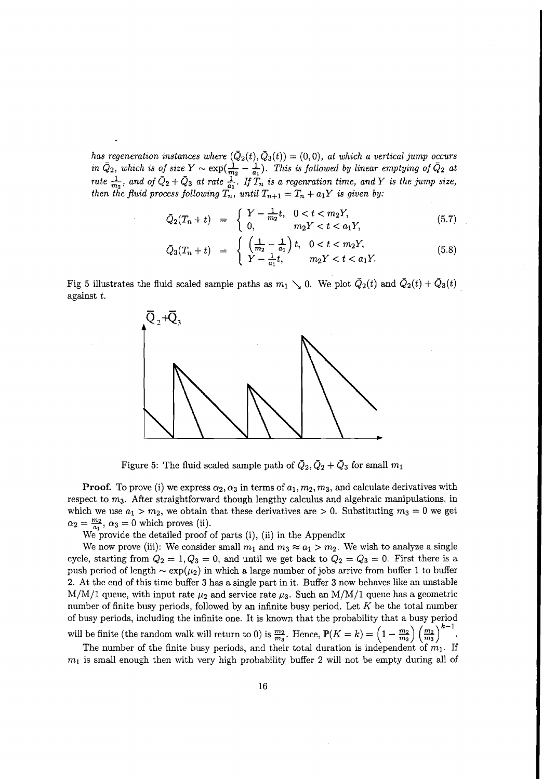*has* regeneration instances where  $(\bar{Q}_2(t), \bar{Q}_3(t)) = (0,0)$ , at which a vertical jump occurs *in*  $\bar{Q}_2$ , which is of size  $Y \sim \exp(\frac{1}{m_2} - \frac{1}{a_1})$ . This is followed by linear emptying of  $\bar{Q}_2$  at rate  $\frac{1}{m_2}$ , and of  $\bar{Q}_2 + \bar{Q}_3$  at rate  $\frac{1}{a_1}$ . If  $T_n$  is a regenration time, and Y is the jump size *then* the fluid process following  $T_n$ , until  $T_{n+1} = T_n + a_1Y$  is given by:

$$
\bar{Q}_2(T_n + t) = \begin{cases} Y - \frac{1}{m_2}t, & 0 < t < m_2Y, \\ 0, & m_2Y < t < a_1Y, \end{cases} \tag{5.7}
$$

$$
\bar{Q}_3(T_n + t) = \begin{cases} \left(\frac{1}{m_2} - \frac{1}{a_1}\right)t, & 0 < t < m_2Y, \\ Y - \frac{1}{a_1}t, & m_2Y < t < a_1Y. \end{cases}
$$
\n(5.8)

Fig 5 illustrates the fluid scaled sample paths as  $m_1 \searrow 0$ . We plot  $\overline{Q}_2(t)$  and  $\overline{Q}_2(t) + \overline{Q}_3(t)$ against t.



Figure 5: The fluid scaled sample path of  $\overline{Q}_2$ ,  $\overline{Q}_2 + \overline{Q}_3$  for small  $m_1$ 

**Proof.** To prove (i) we express  $\alpha_2, \alpha_3$  in terms of  $a_1, m_2, m_3$ , and calculate derivatives with respect to *m3.* After straightforward though lengthy calculus and algebraic manipulations, in which we use  $a_1 > m_2$ , we obtain that these derivatives are  $> 0$ . Substituting  $m_3 = 0$  we get  $\alpha_2 = \frac{m_2}{a_1}, \alpha_3 = 0$  which proves (ii).

We provide the detailed proof of parts (i), (ii) in the Appendix

We now prove (iii): We consider small  $m_1$  and  $m_3 \approx a_1 > m_2$ . We wish to analyze a single cycle, starting from  $Q_2 = 1, Q_3 = 0$ , and until we get back to  $Q_2 = Q_3 = 0$ . First there is a push period of length  $\sim \exp(\mu_2)$  in which a large number of jobs arrive from buffer 1 to buffer 2. At the end of this time buffer 3 has a single part in it. Buffer 3 now behaves like an unstable  $M/M/1$  queue, with input rate  $\mu_2$  and service rate  $\mu_3$ . Such an  $M/M/1$  queue has a geometric number of finite busy periods, followed by an infinite busy period. Let *K* be the total number of busy periods, including the infinite one. It is known that the probability that a busy period will be finite (the random walk will return to 0) is  $\frac{m_2}{m_2}$ . Hence,  $\mathbb{P}(K = k) = \left(1 - \frac{m_2}{m_2}\right) \left(\frac{m_2}{m_2}\right)$ 

The number of the finite busy periods, and their total duration is independent of  $m_1$ . If  $m_1$  is small enough then with very high probability buffer 2 will not be empty during all of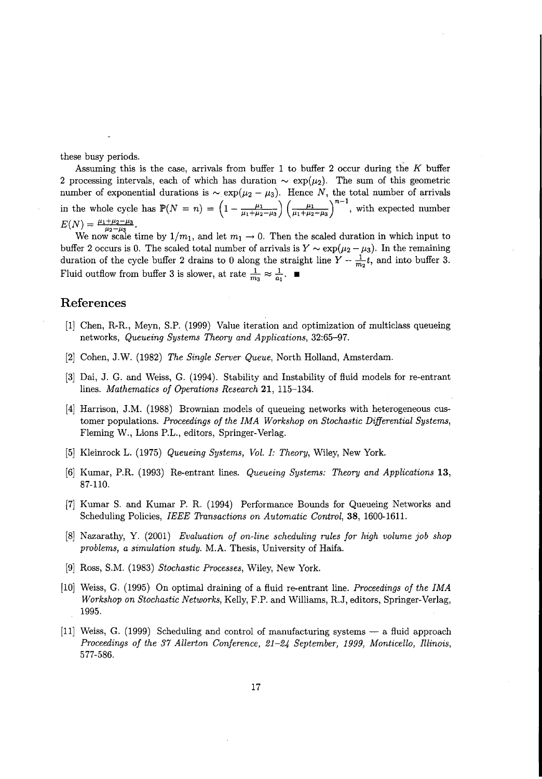these busy periods. \_

Assuming this is the case, arrivals from buffer 1 to buffer 2 occur during the *K* buffer 2 processing intervals, each of which has duration  $\sim \exp(\mu_2)$ . The sum of this geometric number of exponential durations is  $\sim \exp(\mu_2 - \mu_3)$ . Hence N, the total number of arrivals in the whole cycle has  $\mathbb{P}(N = n) = \left(1 - \frac{\mu_1}{\mu_1 + \mu_2 - \mu_3}\right) \left(\frac{\mu_1}{\mu_1 + \mu_2 - \mu_3}\right)^{n-1}$ , with expected number  $E(N) = \frac{\mu_1 + \mu_2 - \mu_3}{\mu_2 - \mu_3}.$ 

We now scale time by  $1/m_1$ , and let  $m_1 \rightarrow 0$ . Then the scaled duration in which input to buffer 2 occurs is 0. The scaled total number of arrivals is  $Y \sim \exp(\mu_2 - \mu_3)$ . In the remaining duration of the cycle buffer 2 drains to 0 along the straight line  $Y - \frac{1}{m_2}t$ , and into buffer 3. Fluid outflow from buffer 3 is slower, at rate  $\frac{1}{m_3} \approx \frac{1}{a_1}$ .

#### **References**

- [1] Chen, R-R, Meyn, S.P. (1999) Value iteration and optimization of multiclass queueing networks, *Queueing Systems Theory and Applications, 32:65-97.*
- [2] Cohen, J.W. (1982) *The Single Server Queue,* North Holland, Amsterdam.
- [3] Dai, J. G. and Weiss, G. (1994). Stability and Instability of fluid models for re-entrant lines. *Mathematics of Operations Research* 21, 115-134.
- [4] Harrison, J.M. (1988) Brownian models of queueing networks with heterogeneous customer populations. *Proceedings of the IMA Workshop on Stochastic Differential Systems,* Fleming W., Lions P.L., editors, Springer-Verlag.
- [5] Kleinrock L. (1975) *Queueing Systems, Vol. I: Theory,* Wiley, New York.
- [6] Kumar, P.R (1993) Re-entrant lines. *Queueing Systems: Theory and Applications 13,* 87-110.
- [7] Kumar S. and Kumar P. R. (1994) Performance Bounds for Queueing Networks and Scheduling Policies, *IEEE Transactions on Automatic Control,* 38, 1600-1611.
- [8] Nazarathy, y. (2001) *Evaluation of on-line scheduling rules for high volume job shop problems, a simulation study.* M.A. Thesis, University of Haifa.
- [9] Ross, S.M. (1983) *Stochastic Processes,* Wiley, New York.
- [10] Weiss, G. (1995) On optimal draining of a fluid re-entrant line. *Proceedings of the IMA Workshop on Stochastic Networks,* Kelly, F.P. and Williams, RJ, editors, Springer-Verlag, 1995.
- $[11]$  Weiss, G. (1999) Scheduling and control of manufacturing systems  $-$  a fluid approach *Proceedings of the* 37 *Allerton Conference,* 21-24 *September,* 1999, *Monticello, Illinois,* 577-586.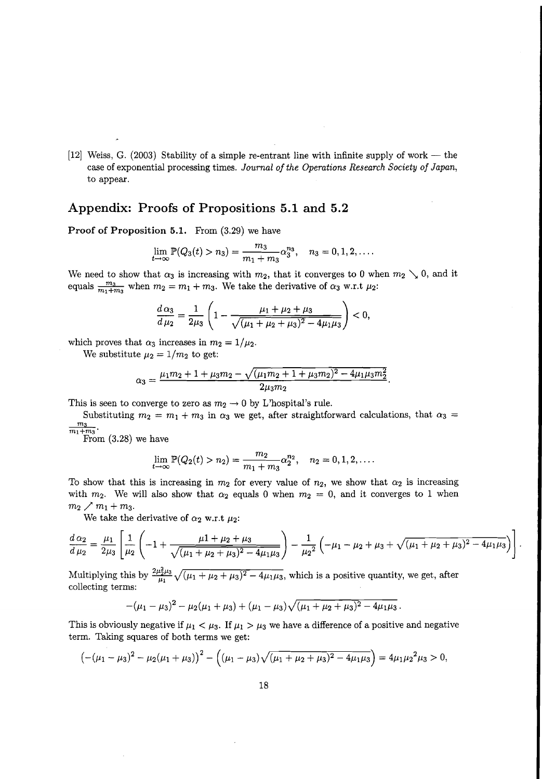$[12]$  Weiss, G. (2003) Stability of a simple re-entrant line with infinite supply of work — the case of exponential processing times. *Journal of the Operations Research Society of Japan,* to appear.

### **Appendix: Proofs of Propositions 5.1 and 5.2**

**Proof of Proposition 5.1.** From (3.29) we have

$$
\lim_{t\to\infty}\mathbb{P}(Q_3(t)>n_3)=\frac{m_3}{m_1+m_3}\alpha_3^{n_3},\quad n_3=0,1,2,\ldots.
$$

We need to show that  $\alpha_3$  is increasing with  $m_2$ , that it converges to 0 when  $m_2 \searrow 0$ , and it equals  $\frac{m_3}{m_1 + m_3}$  when  $m_2 = m_1 + m_3$ . We take the derivative of  $\alpha_3$  w.r.t  $\mu_2$ :

$$
\frac{d\alpha_3}{d\mu_2} = \frac{1}{2\mu_3} \left( 1 - \frac{\mu_1 + \mu_2 + \mu_3}{\sqrt{(\mu_1 + \mu_2 + \mu_3)^2 - 4\mu_1\mu_3}} \right) < 0,
$$

which proves that  $\alpha_3$  increases in  $m_2 = 1/\mu_2$ .

We substitute  $\mu_2 = 1/m_2$  to get:

$$
\alpha_3 = \frac{\mu_1 m_2 + 1 + \mu_3 m_2 - \sqrt{(\mu_1 m_2 + 1 + \mu_3 m_2)^2 - 4 \mu_1 \mu_3 m_2^2}}{2 \mu_3 m_2}.
$$

This is seen to converge to zero as  $m_2 \to 0$  by L'hospital's rule.

Substituting  $m_2 = m_1 + m_3$  in  $\alpha_3$  we get, after straightforward calculations, that  $\alpha_3 =$  $\frac{m_3}{m_1+m_3}$ .

From (3.28) we have

$$
\lim_{t \to \infty} \mathbb{P}(Q_2(t) > n_2) = \frac{m_2}{m_1 + m_3} \alpha_2^{n_2}, \quad n_2 = 0, 1, 2, \dots
$$

To show that this is increasing in  $m_2$  for every value of  $n_2$ , we show that  $\alpha_2$  is increasing To show that this is increasing in  $m_2$  for every value of  $n_2$ , we show that  $\alpha_2$  is increasing with  $m_2$ . We will also show that  $\alpha_2$  equals 0 when  $m_2 = 0$ , and it converges to 1 when  $m_2 \nearrow m_1 + m_3$ .

We take the derivative of  $\alpha_2$  w.r.t  $\mu_2$ :

$$
\frac{d\alpha_2}{d\mu_2} = \frac{\mu_1}{2\mu_3} \left[ \frac{1}{\mu_2} \left( -1 + \frac{\mu_1 + \mu_2 + \mu_3}{\sqrt{(\mu_1 + \mu_2 + \mu_3)^2 - 4\mu_1\mu_3}} \right) - \frac{1}{\mu_2^2} \left( -\mu_1 - \mu_2 + \mu_3 + \sqrt{(\mu_1 + \mu_2 + \mu_3)^2 - 4\mu_1\mu_3} \right) \right]
$$

Multiplying this by  $\frac{2\mu_2^2\mu_3}{\mu_1} \sqrt{(\mu_1 + \mu_2 + \mu_3)^2 - 4\mu_1\mu_3}$ , which is a positive quantity, we get, after collecting terms:

$$
-(\mu_1-\mu_3)^2-\mu_2(\mu_1+\mu_3)+(\mu_1-\mu_3)\sqrt{(\mu_1+\mu_2+\mu_3)^2-4\mu_1\mu_3}.
$$

This is obviously negative if  $\mu_1 < \mu_3$ . If  $\mu_1 > \mu_3$  we have a difference of a positive and negative term. Taking squares of both terms we get:

$$
\left(-(\mu_1-\mu_3)^2-\mu_2(\mu_1+\mu_3)\right)^2-\left((\mu_1-\mu_3)\sqrt{(\mu_1+\mu_2+\mu_3)^2-4\mu_1\mu_3}\right)=4\mu_1\mu_2^2\mu_3>0,
$$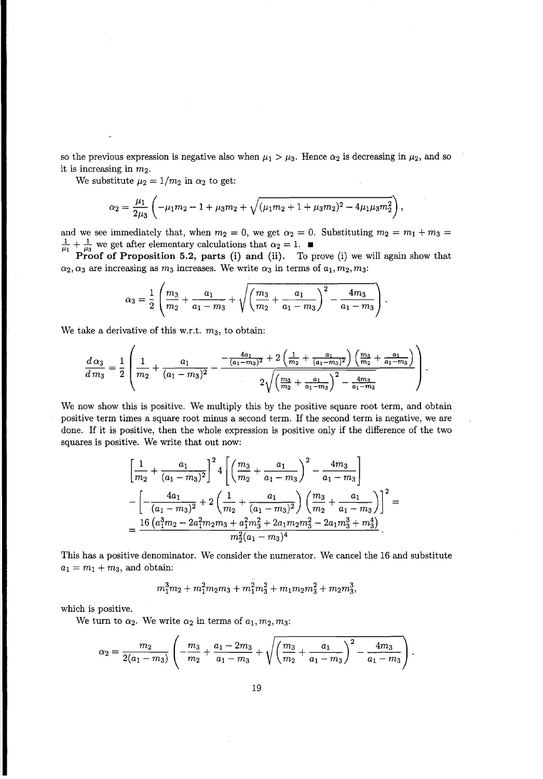so the previous expression is negative also when  $\mu_1 > \mu_3$ . Hence  $\alpha_2$  is decreasing in  $\mu_2$ , and so it is increasing in *m2.*

We substitute  $\mu_2 = 1/m_2$  in  $\alpha_2$  to get:

$$
\alpha_2 = \frac{\mu_1}{2\mu_3} \left( -\mu_1 m_2 - 1 + \mu_3 m_2 + \sqrt{(\mu_1 m_2 + 1 + \mu_3 m_2)^2 - 4\mu_1 \mu_3 m_2^2} \right),
$$

and we see immediately that, when  $m_2 = 0$ , we get  $\alpha_2 = 0$ . Substituting  $m_2 = m_1 + m_3 =$  $\frac{1}{44} + \frac{1}{44}$  we get after elementary calculations that  $\alpha_2 = 1$ .

**Proof of Proposition** 5.2, parts (i) **and** (ii). To prove (i) we will again show that  $\alpha_2, \alpha_3$  are increasing as  $m_3$  increases. We write  $\alpha_3$  in terms of  $a_1, m_2, m_3$ :

$$
\alpha_3 = \frac{1}{2} \left( \frac{m_3}{m_2} + \frac{a_1}{a_1 - m_3} + \sqrt{\left( \frac{m_3}{m_2} + \frac{a_1}{a_1 - m_3} \right)^2 - \frac{4m_3}{a_1 - m_3}} \right).
$$

We take a derivative of this w.r.t.  $m_3$ , to obtain:

$$
\frac{d\,\alpha_3}{d\,m_3} = \frac{1}{2}\left(\frac{1}{m_2} + \frac{a_1}{(a_1 - m_3)^2} - \frac{-\frac{4a_1}{(a_1 - m_3)^2} + 2\left(\frac{1}{m_2} + \frac{a_1}{(a_1 - m_3)^2}\right)\left(\frac{m_3}{m_2} + \frac{a_1}{a_1 - m_3}\right)}{2\sqrt{\left(\frac{m_3}{m_2} + \frac{a_1}{a_1 - m_3}\right)^2 - \frac{4m_3}{a_1 - m_3}}}\right).
$$

We now show this is positive. We multiply this by the positive square root term, and obtain positive term times a square root minus a second term. If the second term is negative, we are done. If it is positive, then the whole expression is positive only if the difference of the two squares is positive. We write that out now:

$$
\left[\frac{1}{m_2} + \frac{a_1}{(a_1 - m_3)^2}\right]^2 4 \left[\left(\frac{m_3}{m_2} + \frac{a_1}{a_1 - m_3}\right)^2 - \frac{4m_3}{a_1 - m_3}\right]
$$
  

$$
-\left[-\frac{4a_1}{(a_1 - m_3)^2} + 2\left(\frac{1}{m_2} + \frac{a_1}{(a_1 - m_3)^2}\right)\left(\frac{m_3}{m_2} + \frac{a_1}{a_1 - m_3}\right)\right]^2 =
$$
  

$$
=\frac{16\left(a_1^3m_2 - 2a_1^2m_2m_3 + a_1^2m_3^2 + 2a_1m_2m_3^2 - 2a_1m_3^3 + m_3^4\right)}{m_2^2(a_1 - m_3)^4}.
$$

This has a positive denominator. We consider the numerator. We cancel the 16 and substitute  $a_1 = m_1 + m_3$ , and obtain:

$$
m_1^3m_2 + m_1^2m_2m_3 + m_1^2m_3^2 + m_1m_2m_3^2 + m_2m_3^3,
$$

which is positive.

We turn to  $\alpha_2$ . We write  $\alpha_2$  in terms of  $a_1, m_2, m_3$ :

$$
\alpha_2 = \frac{m_2}{2(a_1 - m_3)} \left( -\frac{m_3}{m_2} + \frac{a_1 - 2m_3}{a_1 - m_3} + \sqrt{\left( \frac{m_3}{m_2} + \frac{a_1}{a_1 - m_3} \right)^2 - \frac{4m_3}{a_1 - m_3}} \right).
$$